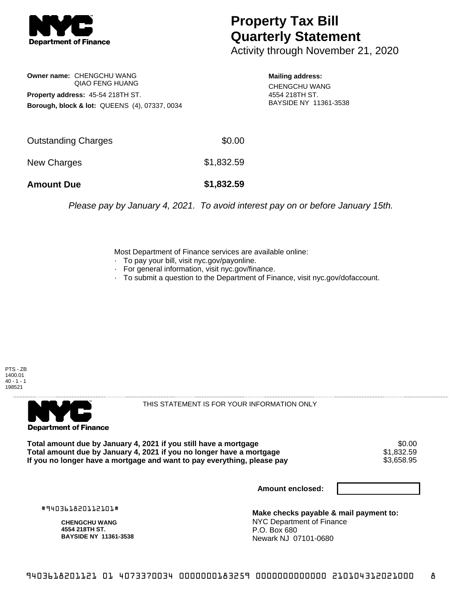

## **Property Tax Bill Quarterly Statement**

Activity through November 21, 2020

**Owner name:** CHENGCHU WANG QIAO FENG HUANG **Property address:** 45-54 218TH ST. **Borough, block & lot:** QUEENS (4), 07337, 0034

**Mailing address:**

CHENGCHU WANG 4554 218TH ST. BAYSIDE NY 11361-3538

| <b>Amount Due</b>   | \$1,832.59 |
|---------------------|------------|
| New Charges         | \$1,832.59 |
| Outstanding Charges | \$0.00     |

Please pay by January 4, 2021. To avoid interest pay on or before January 15th.

Most Department of Finance services are available online:

- · To pay your bill, visit nyc.gov/payonline.
- For general information, visit nyc.gov/finance.
- · To submit a question to the Department of Finance, visit nyc.gov/dofaccount.





THIS STATEMENT IS FOR YOUR INFORMATION ONLY

Total amount due by January 4, 2021 if you still have a mortgage \$0.00<br>Total amount due by January 4, 2021 if you no longer have a mortgage \$1.832.59 **Total amount due by January 4, 2021 if you no longer have a mortgage**  $$1,832.59$ **<br>If you no longer have a mortgage and want to pay everything, please pay**  $$3,658.95$ If you no longer have a mortgage and want to pay everything, please pay

**Amount enclosed:**

#940361820112101#

**CHENGCHU WANG 4554 218TH ST. BAYSIDE NY 11361-3538**

**Make checks payable & mail payment to:** NYC Department of Finance P.O. Box 680 Newark NJ 07101-0680